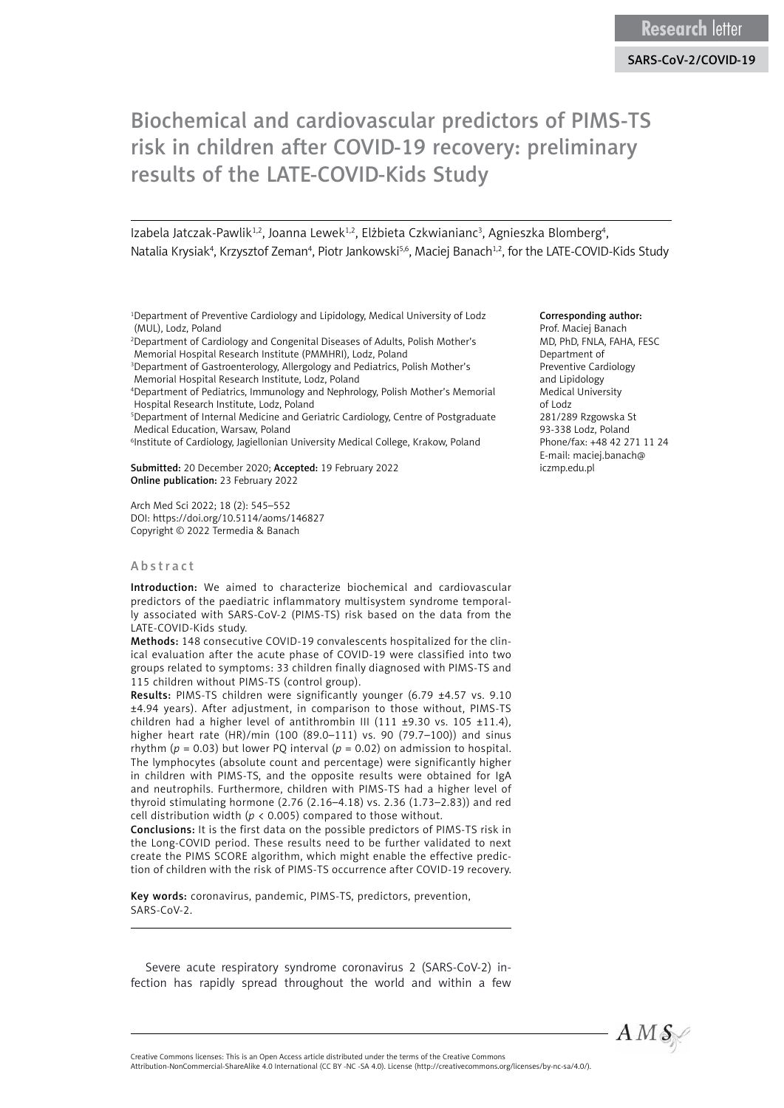# Biochemical and cardiovascular predictors of PIMS-TS risk in children after COVID-19 recovery: preliminary results of the LATE-COVID-Kids Study

Izabela Jatczak-Pawlik<sup>1,2</sup>, Joanna Lewek<sup>1,2</sup>, Elżbieta Czkwianianc<sup>3</sup>, Agnieszka Blomberg<sup>4</sup>, Natalia Krysiak<sup>4</sup>, Krzysztof Zeman<sup>4</sup>, Piotr Jankowski<sup>5,6</sup>, Maciej Banach<sup>1,2</sup>, for the LATE-COVID-Kids Study

1 Department of Preventive Cardiology and Lipidology, Medical University of Lodz (MUL), Lodz, Poland

2 Department of Cardiology and Congenital Diseases of Adults, Polish Mother's Memorial Hospital Research Institute (PMMHRI), Lodz, Poland

<sup>3</sup>Department of Gastroenterology, Allergology and Pediatrics, Polish Mother's Memorial Hospital Research Institute, Lodz, Poland

4 Department of Pediatrics, Immunology and Nephrology, Polish Mother's Memorial Hospital Research Institute, Lodz, Poland

5 Department of Internal Medicine and Geriatric Cardiology, Centre of Postgraduate Medical Education, Warsaw, Poland

6 Institute of Cardiology, Jagiellonian University Medical College, Krakow, Poland

Submitted: 20 December 2020; Accepted: 19 February 2022 Online publication: 23 February 2022

Arch Med Sci 2022; 18 (2): 545–552 DOI: https://doi.org/10.5114/aoms/146827 Copyright © 2022 Termedia & Banach

### Abstract

Introduction: We aimed to characterize biochemical and cardiovascular predictors of the paediatric inflammatory multisystem syndrome temporally associated with SARS-CoV-2 (PIMS-TS) risk based on the data from the LATE-COVID-Kids study.

Methods: 148 consecutive COVID-19 convalescents hospitalized for the clinical evaluation after the acute phase of COVID-19 were classified into two groups related to symptoms: 33 children finally diagnosed with PIMS-TS and 115 children without PIMS-TS (control group).

Results: PIMS-TS children were significantly younger (6.79 ±4.57 vs. 9.10 ±4.94 years). After adjustment, in comparison to those without, PIMS-TS children had a higher level of antithrombin III (111 ±9.30 vs. 105 ±11.4), higher heart rate (HR)/min (100 (89.0–111) vs. 90 (79.7–100)) and sinus rhythm ( $p = 0.03$ ) but lower PQ interval ( $p = 0.02$ ) on admission to hospital. The lymphocytes (absolute count and percentage) were significantly higher in children with PIMS-TS, and the opposite results were obtained for IgA and neutrophils. Furthermore, children with PIMS-TS had a higher level of thyroid stimulating hormone (2.76 (2.16–4.18) vs. 2.36 (1.73–2.83)) and red cell distribution width (*p* < 0.005) compared to those without.

Conclusions: It is the first data on the possible predictors of PIMS-TS risk in the Long-COVID period. These results need to be further validated to next create the PIMS SCORE algorithm, which might enable the effective prediction of children with the risk of PIMS-TS occurrence after COVID-19 recovery.

Key words: coronavirus, pandemic, PIMS-TS, predictors, prevention, SARS-CoV-2.

Severe acute respiratory syndrome coronavirus 2 (SARS-CoV-2) infection has rapidly spread throughout the world and within a few

#### Corresponding author:

Prof. Maciej Banach MD, PhD, FNLA, FAHA, FESC Department of Preventive Cardiology and Lipidology Medical University of Lodz 281/289 Rzgowska St 93-338 Lodz, Poland Phone/fax: +48 42 271 11 24 E-mail: [maciej.banach@](mailto:maciej.banach@iczmp.edu.pl) [iczmp.edu.pl](mailto:maciej.banach@iczmp.edu.pl) 



Creative Commons licenses: This is an Open Access article distributed under the terms of the Creative Commons Attribution-NonCommercial-ShareAlike 4.0 International (CC BY -NC -SA 4.0). License (http://creativecommons.org/licenses/by-nc-sa/4.0/).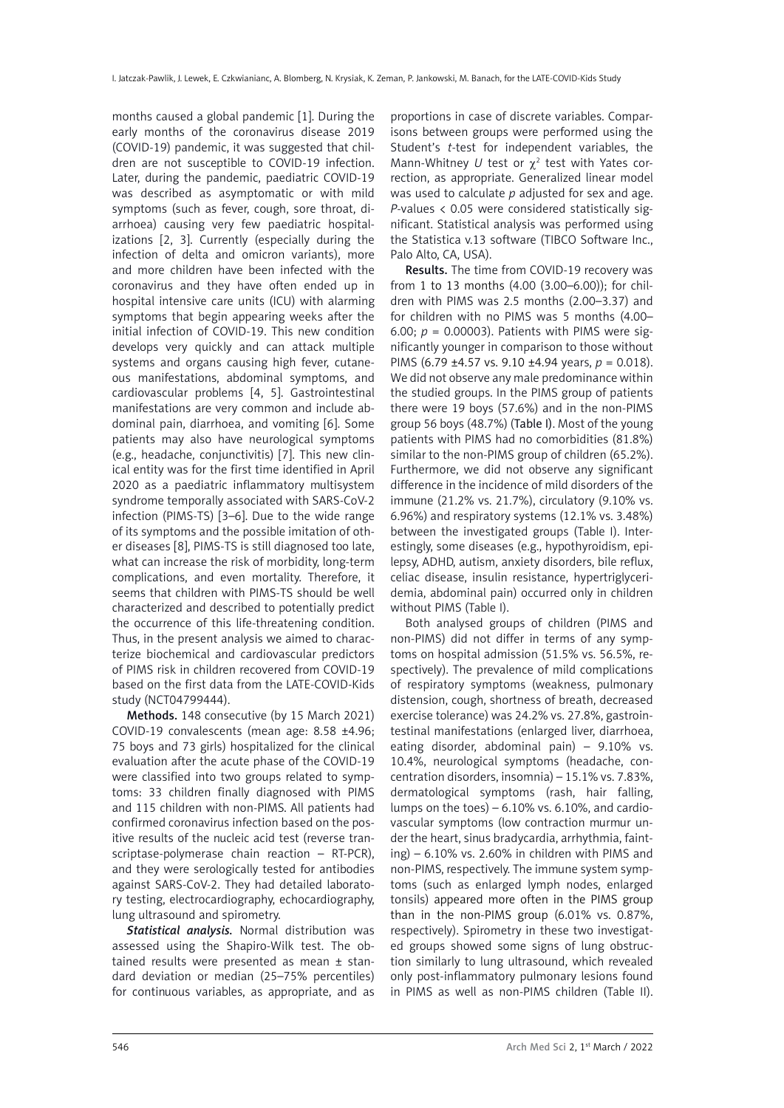months caused a global pandemic [1]. During the early months of the coronavirus disease 2019 (COVID-19) pandemic, it was suggested that children are not susceptible to COVID-19 infection. Later, during the pandemic, paediatric COVID-19 was described as asymptomatic or with mild symptoms (such as fever, cough, sore throat, diarrhoea) causing very few paediatric hospitalizations [2, 3]. Currently (especially during the infection of delta and omicron variants), more and more children have been infected with the coronavirus and they have often ended up in hospital intensive care units (ICU) with alarming symptoms that begin appearing weeks after the initial infection of COVID-19. This new condition develops very quickly and can attack multiple systems and organs causing high fever, cutaneous manifestations, abdominal symptoms, and cardiovascular problems [4, 5]. Gastrointestinal manifestations are very common and include abdominal pain, diarrhoea, and vomiting [6]. Some patients may also have neurological symptoms (e.g., headache, conjunctivitis) [7]. This new clinical entity was for the first time identified in April 2020 as a paediatric inflammatory multisystem syndrome temporally associated with SARS-CoV-2 infection (PIMS-TS) [3–6]. Due to the wide range of its symptoms and the possible imitation of other diseases [8], PIMS-TS is still diagnosed too late, what can increase the risk of morbidity, long-term complications, and even mortality. Therefore, it seems that children with PIMS-TS should be well characterized and described to potentially predict the occurrence of this life-threatening condition. Thus, in the present analysis we aimed to characterize biochemical and cardiovascular predictors of PIMS risk in children recovered from COVID-19 based on the first data from the LATE-COVID-Kids study (NCT04799444).

Methods. 148 consecutive (by 15 March 2021) COVID-19 convalescents (mean age: 8.58 ±4.96; 75 boys and 73 girls) hospitalized for the clinical evaluation after the acute phase of the COVID-19 were classified into two groups related to symptoms: 33 children finally diagnosed with PIMS and 115 children with non-PIMS. All patients had confirmed coronavirus infection based on the positive results of the nucleic acid test (reverse transcriptase-polymerase chain reaction – RT-PCR), and they were serologically tested for antibodies against SARS-CoV-2. They had detailed laboratory testing, electrocardiography, echocardiography, lung ultrasound and spirometry.

*Statistical analysis.* Normal distribution was assessed using the Shapiro-Wilk test. The obtained results were presented as mean ± standard deviation or median (25–75% percentiles) for continuous variables, as appropriate, and as

proportions in case of discrete variables. Comparisons between groups were performed using the Student's *t*-test for independent variables, the Mann-Whitney *U* test or  $\chi^2$  test with Yates correction, as appropriate. Generalized linear model was used to calculate *p* adjusted for sex and age. *P*-values < 0.05 were considered statistically significant. Statistical analysis was performed using the Statistica v.13 software (TIBCO Software Inc., Palo Alto, CA, USA).

Results. The time from COVID-19 recovery was from 1 to 13 months (4.00 (3.00–6.00)); for children with PIMS was 2.5 months (2.00–3.37) and for children with no PIMS was 5 months (4.00– 6.00; *p* = 0.00003). Patients with PIMS were significantly younger in comparison to those without PIMS (6.79 ±4.57 vs. 9.10 ±4.94 years, *p* = 0.018). We did not observe any male predominance within the studied groups. In the PIMS group of patients there were 19 boys (57.6%) and in the non-PIMS group 56 boys (48.7%) (Table I). Most of the young patients with PIMS had no comorbidities (81.8%) similar to the non-PIMS group of children (65.2%). Furthermore, we did not observe any significant difference in the incidence of mild disorders of the immune (21.2% vs. 21.7%), circulatory (9.10% vs. 6.96%) and respiratory systems (12.1% vs. 3.48%) between the investigated groups (Table I). Interestingly, some diseases (e.g., hypothyroidism, epilepsy, ADHD, autism, anxiety disorders, bile reflux, celiac disease, insulin resistance, hypertriglyceridemia, abdominal pain) occurred only in children without PIMS (Table I).

Both analysed groups of children (PIMS and non-PIMS) did not differ in terms of any symptoms on hospital admission (51.5% vs. 56.5%, respectively). The prevalence of mild complications of respiratory symptoms (weakness, pulmonary distension, cough, shortness of breath, decreased exercise tolerance) was 24.2% vs. 27.8%, gastrointestinal manifestations (enlarged liver, diarrhoea, eating disorder, abdominal pain) – 9.10% vs. 10.4%, neurological symptoms (headache, concentration disorders, insomnia) – 15.1% vs. 7.83%, dermatological symptoms (rash, hair falling, lumps on the toes)  $-6.10\%$  vs.  $6.10\%$ , and cardiovascular symptoms (low contraction murmur under the heart, sinus bradycardia, arrhythmia, fainting) – 6.10% vs. 2.60% in children with PIMS and non-PIMS, respectively. The immune system symptoms (such as enlarged lymph nodes, enlarged tonsils) appeared more often in the PIMS group than in the non-PIMS group (6.01% vs. 0.87%, respectively). Spirometry in these two investigated groups showed some signs of lung obstruction similarly to lung ultrasound, which revealed only post-inflammatory pulmonary lesions found in PIMS as well as non-PIMS children (Table II).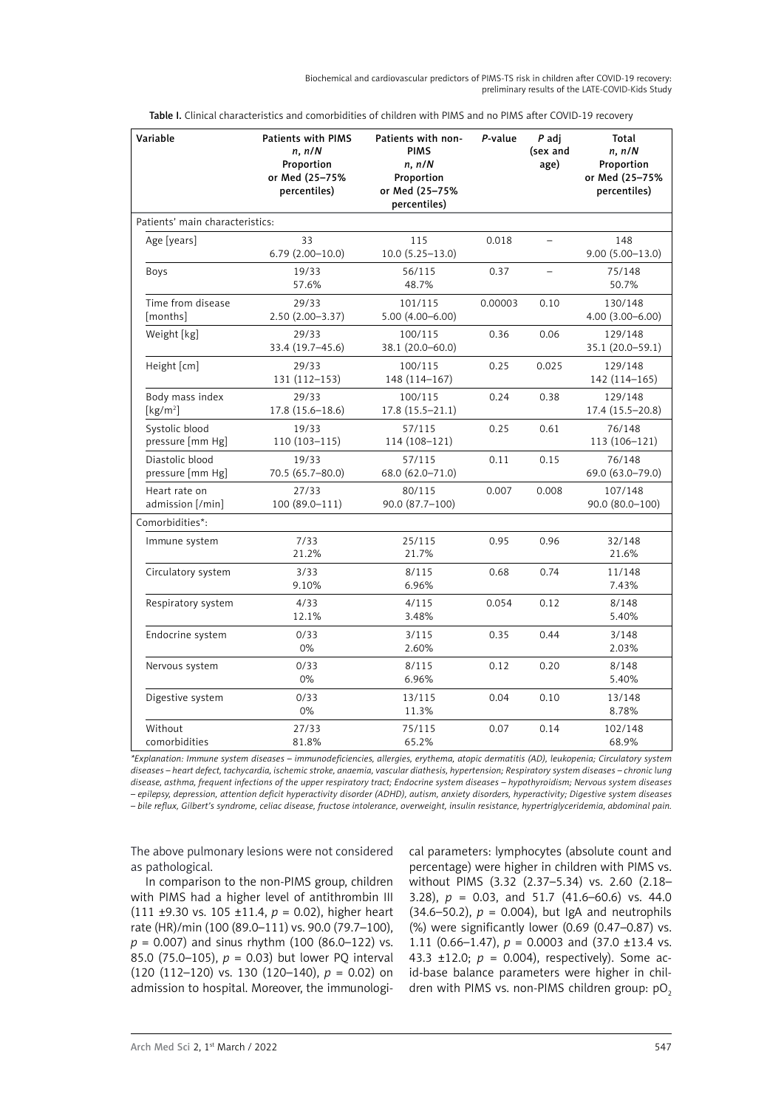Biochemical and cardiovascular predictors of PIMS-TS risk in children after COVID-19 recovery: preliminary results of the LATE-COVID-Kids Study

| Variable                                | <b>Patients with PIMS</b><br>n, n/N<br>Proportion<br>or Med (25-75%<br>percentiles) | Patients with non-<br><b>PIMS</b><br>n, n/N<br>Proportion<br>or Med (25-75%<br>percentiles) | P-value | P adj<br>(sex and<br>age) | Total<br>n, n/N<br>Proportion<br>or Med (25-75%<br>percentiles) |
|-----------------------------------------|-------------------------------------------------------------------------------------|---------------------------------------------------------------------------------------------|---------|---------------------------|-----------------------------------------------------------------|
| Patients' main characteristics:         |                                                                                     |                                                                                             |         |                           |                                                                 |
| Age [years]                             | 33<br>$6.79(2.00-10.0)$                                                             | 115<br>$10.0 (5.25 - 13.0)$                                                                 | 0.018   | ÷                         | 148<br>$9.00(5.00-13.0)$                                        |
| Boys                                    | 19/33<br>57.6%                                                                      | 56/115<br>48.7%                                                                             | 0.37    |                           | 75/148<br>50.7%                                                 |
| Time from disease<br>[months]           | 29/33<br>2.50 (2.00-3.37)                                                           | 101/115<br>$5.00(4.00 - 6.00)$                                                              | 0.00003 | 0.10                      | 130/148<br>$4.00(3.00 - 6.00)$                                  |
| Weight [kg]                             | 29/33<br>33.4 (19.7-45.6)                                                           | 100/115<br>38.1 (20.0-60.0)                                                                 | 0.36    | 0.06                      | 129/148<br>35.1 (20.0-59.1)                                     |
| Height [cm]                             | 29/33<br>131 (112-153)                                                              | 100/115<br>148 (114-167)                                                                    | 0.25    | 0.025                     | 129/148<br>142 (114-165)                                        |
| Body mass index<br>[kg/m <sup>2</sup> ] | 29/33<br>17.8 (15.6-18.6)                                                           | 100/115<br>17.8 (15.5-21.1)                                                                 | 0.24    | 0.38                      | 129/148<br>17.4 (15.5-20.8)                                     |
| Systolic blood<br>pressure [mm Hg]      | 19/33<br>110 (103-115)                                                              | 57/115<br>114 (108-121)                                                                     | 0.25    | 0.61                      | 76/148<br>113 (106-121)                                         |
| Diastolic blood<br>pressure [mm Hg]     | 19/33<br>70.5 (65.7-80.0)                                                           | 57/115<br>68.0 (62.0-71.0)                                                                  | 0.11    | 0.15                      | 76/148<br>69.0 (63.0-79.0)                                      |
| Heart rate on<br>admission [/min]       | 27/33<br>100 (89.0-111)                                                             | 80/115<br>90.0 (87.7-100)                                                                   | 0.007   | 0.008                     | 107/148<br>90.0 (80.0-100)                                      |
| Comorbidities*:                         |                                                                                     |                                                                                             |         |                           |                                                                 |
| Immune system                           | 7/33<br>21.2%                                                                       | 25/115<br>21.7%                                                                             | 0.95    | 0.96                      | 32/148<br>21.6%                                                 |
| Circulatory system                      | 3/33<br>9.10%                                                                       | 8/115<br>6.96%                                                                              | 0.68    | 0.74                      | 11/148<br>7.43%                                                 |
| Respiratory system                      | 4/33<br>12.1%                                                                       | 4/115<br>3.48%                                                                              | 0.054   | 0.12                      | 8/148<br>5.40%                                                  |
| Endocrine system                        | 0/33<br>0%                                                                          | 3/115<br>2.60%                                                                              | 0.35    | 0.44                      | 3/148<br>2.03%                                                  |
| Nervous system                          | 0/33<br>0%                                                                          | 8/115<br>6.96%                                                                              | 0.12    | 0.20                      | 8/148<br>5.40%                                                  |
| Digestive system                        | 0/33<br>0%                                                                          | 13/115<br>11.3%                                                                             | 0.04    | 0.10                      | 13/148<br>8.78%                                                 |
| Without<br>comorbidities                | 27/33<br>81.8%                                                                      | 75/115<br>65.2%                                                                             | 0.07    | 0.14                      | 102/148<br>68.9%                                                |

Table I. Clinical characteristics and comorbidities of children with PIMS and no PIMS after COVID-19 recovery

*\*Explanation: Immune system diseases – immunodeficiencies, allergies, erythema, atopic dermatitis (AD), leukopenia; Circulatory system diseases – heart defect, tachycardia, ischemic stroke, anaemia, vascular diathesis, hypertension; Respiratory system diseases – chronic lung disease, asthma, frequent infections of the upper respiratory tract; Endocrine system diseases – hypothyroidism; Nervous system diseases – epilepsy, depression, attention deficit hyperactivity disorder (ADHD), autism, anxiety disorders, hyperactivity; Digestive system diseases – bile reflux, Gilbert's syndrome, celiac disease, fructose intolerance, overweight, insulin resistance, hypertriglyceridemia, abdominal pain.*

The above pulmonary lesions were not considered as pathological.

In comparison to the non-PIMS group, children with PIMS had a higher level of antithrombin III (111 ±9.30 vs. 105 ±11.4, *p* = 0.02), higher heart rate (HR)/min (100 (89.0–111) vs. 90.0 (79.7–100), *p* = 0.007) and sinus rhythm (100 (86.0–122) vs. 85.0 (75.0–105), *p* = 0.03) but lower PQ interval  $(120 (112-120)$  vs. 130  $(120-140)$ ,  $p = 0.02$ ) on admission to hospital. Moreover, the immunological parameters: lymphocytes (absolute count and percentage) were higher in children with PIMS vs. without PIMS (3.32 (2.37–5.34) vs. 2.60 (2.18– 3.28),  $p = 0.03$ , and 51.7  $(41.6 - 60.6)$  vs. 44.0  $(34.6 - 50.2)$ ,  $p = 0.004$ ), but IgA and neutrophils (%) were significantly lower (0.69 (0.47–0.87) vs. 1.11 (0.66–1.47),  $p = 0.0003$  and (37.0 ±13.4 vs. 43.3 ±12.0;  $p = 0.004$ ), respectively). Some acid-base balance parameters were higher in children with PIMS vs. non-PIMS children group: pO2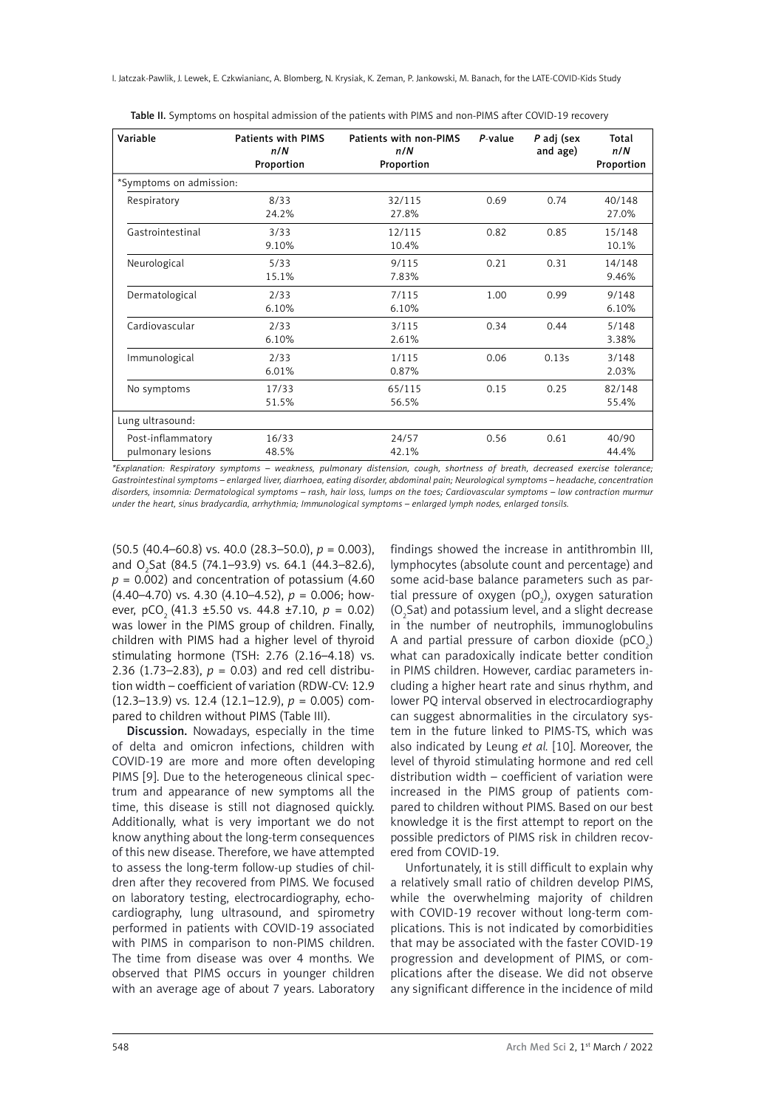I. Jatczak-Pawlik, J. Lewek, E. Czkwianianc, A. Blomberg, N. Krysiak, K. Zeman, P. Jankowski, M. Banach, for the LATE-COVID-Kids Study

| Variable                               | <b>Patients with PIMS</b><br>n/N<br>Proportion | Patients with non-PIMS<br>n/N<br>Proportion | $P$ -value | P adj (sex<br>and age) | Total<br>n/N<br>Proportion |
|----------------------------------------|------------------------------------------------|---------------------------------------------|------------|------------------------|----------------------------|
| *Symptoms on admission:                |                                                |                                             |            |                        |                            |
| Respiratory                            | 8/33<br>24.2%                                  | 32/115<br>27.8%                             | 0.69       | 0.74                   | 40/148<br>27.0%            |
| Gastrointestinal                       | 3/33<br>9.10%                                  | 12/115<br>10.4%                             | 0.82       | 0.85                   | 15/148<br>10.1%            |
| Neurological                           | 5/33<br>15.1%                                  | 9/115<br>7.83%                              | 0.21       | 0.31                   | 14/148<br>9.46%            |
| Dermatological                         | 2/33<br>6.10%                                  | 7/115<br>6.10%                              | 1.00       | 0.99                   | 9/148<br>6.10%             |
| Cardiovascular                         | 2/33<br>6.10%                                  | 3/115<br>2.61%                              | 0.34       | 0.44                   | 5/148<br>3.38%             |
| Immunological                          | 2/33<br>6.01%                                  | 1/115<br>0.87%                              | 0.06       | 0.13s                  | 3/148<br>2.03%             |
| No symptoms                            | 17/33<br>51.5%                                 | 65/115<br>56.5%                             | 0.15       | 0.25                   | 82/148<br>55.4%            |
| Lung ultrasound:                       |                                                |                                             |            |                        |                            |
| Post-inflammatory<br>pulmonary lesions | 16/33<br>48.5%                                 | 24/57<br>42.1%                              | 0.56       | 0.61                   | 40/90<br>44.4%             |

Table II. Symptoms on hospital admission of the patients with PIMS and non-PIMS after COVID-19 recovery

*\*Explanation: Respiratory symptoms – weakness, pulmonary distension, cough, shortness of breath, decreased exercise tolerance; Gastrointestinal symptoms – enlarged liver, diarrhoea, eating disorder, abdominal pain; Neurological symptoms – headache, concentration disorders, insomnia: Dermatological symptoms – rash, hair loss, lumps on the toes; Cardiovascular symptoms – low contraction murmur under the heart, sinus bradycardia, arrhythmia; Immunological symptoms – enlarged lymph nodes, enlarged tonsils.* 

(50.5 (40.4–60.8) vs. 40.0 (28.3–50.0), *p* = 0.003), and O<sub>2</sub>Sat (84.5 (74.1–93.9) vs. 64.1 (44.3–82.6),  $p = 0.002$ ) and concentration of potassium (4.60) (4.40–4.70) vs. 4.30 (4.10–4.52), *p* = 0.006; however, pCO<sub>2</sub> (41.3 ±5.50 vs. 44.8 ±7.10,  $p = 0.02$ ) was lower in the PIMS group of children. Finally, children with PIMS had a higher level of thyroid stimulating hormone (TSH: 2.76 (2.16–4.18) vs. 2.36 (1.73–2.83),  $p = 0.03$ ) and red cell distribution width – coefficient of variation (RDW-CV: 12.9 (12.3–13.9) vs. 12.4 (12.1–12.9), *p* = 0.005) compared to children without PIMS (Table III).

Discussion. Nowadays, especially in the time of delta and omicron infections, children with COVID-19 are more and more often developing PIMS [9]. Due to the heterogeneous clinical spectrum and appearance of new symptoms all the time, this disease is still not diagnosed quickly. Additionally, what is very important we do not know anything about the long-term consequences of this new disease. Therefore, we have attempted to assess the long-term follow-up studies of children after they recovered from PIMS. We focused on laboratory testing, electrocardiography, echocardiography, lung ultrasound, and spirometry performed in patients with COVID-19 associated with PIMS in comparison to non-PIMS children. The time from disease was over 4 months. We observed that PIMS occurs in younger children with an average age of about 7 years. Laboratory

findings showed the increase in antithrombin III, lymphocytes (absolute count and percentage) and some acid-base balance parameters such as partial pressure of oxygen (pO $_2$ ), oxygen saturation  $(O<sub>2</sub> Sat)$  and potassium level, and a slight decrease in the number of neutrophils, immunoglobulins A and partial pressure of carbon dioxide (pCO $_2$ ) what can paradoxically indicate better condition in PIMS children. However, cardiac parameters including a higher heart rate and sinus rhythm, and lower PQ interval observed in electrocardiography can suggest abnormalities in the circulatory system in the future linked to PIMS-TS, which was also indicated by Leung *et al.* [10]. Moreover, the level of thyroid stimulating hormone and red cell distribution width – coefficient of variation were increased in the PIMS group of patients compared to children without PIMS. Based on our best knowledge it is the first attempt to report on the possible predictors of PIMS risk in children recovered from COVID-19.

Unfortunately, it is still difficult to explain why a relatively small ratio of children develop PIMS, while the overwhelming majority of children with COVID-19 recover without long-term complications. This is not indicated by comorbidities that may be associated with the faster COVID-19 progression and development of PIMS, or complications after the disease. We did not observe any significant difference in the incidence of mild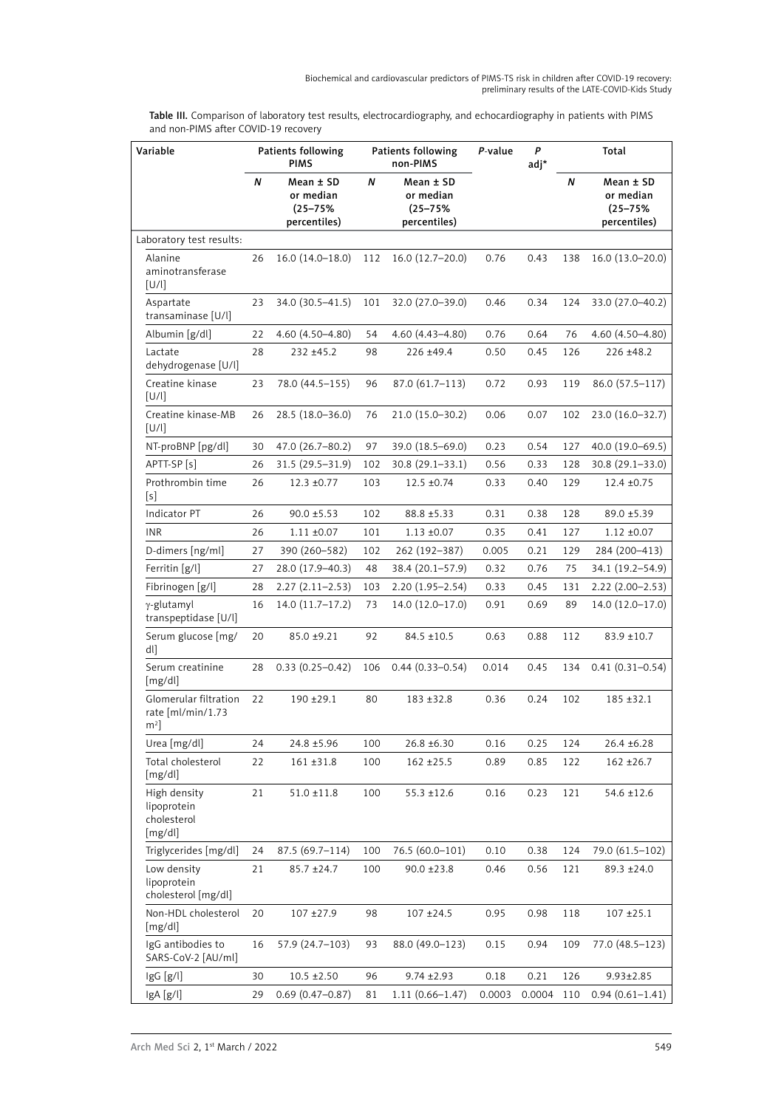Table III. Comparison of laboratory test results, electrocardiography, and echocardiography in patients with PIMS and non-PIMS after COVID-19 recovery

| Variable                                              | Patients following<br>Patients following<br><b>PIMS</b><br>non-PIMS |                                                        |     | P<br>P-value<br>adj*                                   |        | Total  |     |                                                            |
|-------------------------------------------------------|---------------------------------------------------------------------|--------------------------------------------------------|-----|--------------------------------------------------------|--------|--------|-----|------------------------------------------------------------|
|                                                       | N                                                                   | Mean ± SD<br>or median<br>$(25 - 75%)$<br>percentiles) | N   | Mean ± SD<br>or median<br>$(25 - 75%)$<br>percentiles) |        |        | N   | $Mean \pm SD$<br>or median<br>$(25 - 75%)$<br>percentiles) |
| Laboratory test results:                              |                                                                     |                                                        |     |                                                        |        |        |     |                                                            |
| Alanine<br>aminotransferase<br>[U/l]                  | 26                                                                  | $16.0(14.0-18.0)$                                      | 112 | 16.0 (12.7-20.0)                                       | 0.76   | 0.43   | 138 | $16.0(13.0-20.0)$                                          |
| Aspartate<br>transaminase [U/l]                       | 23                                                                  | 34.0 (30.5–41.5)                                       | 101 | 32.0 (27.0-39.0)                                       | 0.46   | 0.34   | 124 | 33.0 (27.0-40.2)                                           |
| Albumin [g/dl]                                        | 22                                                                  | $4.60(4.50 - 4.80)$                                    | 54  | 4.60 (4.43-4.80)                                       | 0.76   | 0.64   | 76  | $4.60(4.50 - 4.80)$                                        |
| Lactate<br>dehydrogenase [U/l]                        | 28                                                                  | $232 + 45.2$                                           | 98  | 226 ±49.4                                              | 0.50   | 0.45   | 126 | $226 \pm 48.2$                                             |
| Creatine kinase<br>[U/1]                              | 23                                                                  | 78.0 (44.5–155)                                        | 96  | $87.0(61.7-113)$                                       | 0.72   | 0.93   | 119 | $86.0(57.5-117)$                                           |
| Creatine kinase-MB<br>[U/1]                           | 26                                                                  | $28.5(18.0-36.0)$                                      | 76  | 21.0 (15.0-30.2)                                       | 0.06   | 0.07   | 102 | 23.0 (16.0-32.7)                                           |
| NT-proBNP [pg/dl]                                     | 30                                                                  | 47.0 (26.7-80.2)                                       | 97  | 39.0 (18.5-69.0)                                       | 0.23   | 0.54   | 127 | 40.0 (19.0-69.5)                                           |
| APTT-SP [s]                                           | 26                                                                  | $31.5(29.5 - 31.9)$                                    | 102 | $30.8(29.1 - 33.1)$                                    | 0.56   | 0.33   | 128 | $30.8(29.1 - 33.0)$                                        |
| Prothrombin time<br>[s]                               | 26                                                                  | $12.3 \pm 0.77$                                        | 103 | $12.5 \pm 0.74$                                        | 0.33   | 0.40   | 129 | $12.4 \pm 0.75$                                            |
| Indicator PT                                          | 26                                                                  | $90.0 \pm 5.53$                                        | 102 | $88.8 + 5.33$                                          | 0.31   | 0.38   | 128 | $89.0 \pm 5.39$                                            |
| <b>INR</b>                                            | 26                                                                  | $1.11 \pm 0.07$                                        | 101 | $1.13 \pm 0.07$                                        | 0.35   | 0.41   | 127 | $1.12 \pm 0.07$                                            |
| D-dimers [ng/ml]                                      | 27                                                                  | 390 (260-582)                                          | 102 | 262 (192-387)                                          | 0.005  | 0.21   | 129 | 284 (200-413)                                              |
| Ferritin [g/l]                                        | 27                                                                  | 28.0 (17.9-40.3)                                       | 48  | 38.4 (20.1-57.9)                                       | 0.32   | 0.76   | 75  | 34.1 (19.2–54.9)                                           |
| Fibrinogen [g/l]                                      | 28                                                                  | $2.27(2.11-2.53)$                                      | 103 | $2.20(1.95 - 2.54)$                                    | 0.33   | 0.45   | 131 | $2.22(2.00-2.53)$                                          |
| y-glutamyl<br>transpeptidase [U/l]                    | 16                                                                  | $14.0(11.7-17.2)$                                      | 73  | $14.0(12.0-17.0)$                                      | 0.91   | 0.69   | 89  | 14.0 (12.0-17.0)                                           |
| Serum glucose [mg/<br>dl]                             | 20                                                                  | $85.0 \pm 9.21$                                        | 92  | $84.5 \pm 10.5$                                        | 0.63   | 0.88   | 112 | $83.9 \pm 10.7$                                            |
| Serum creatinine<br>[mg/dl]                           | 28                                                                  | $0.33(0.25 - 0.42)$                                    | 106 | $0.44(0.33 - 0.54)$                                    | 0.014  | 0.45   | 134 | $0.41(0.31 - 0.54)$                                        |
| Glomerular filtration<br>rate [ml/min/1.73<br>$m2$ ]  | 22                                                                  | $190 + 29.1$                                           | 80  | $183 + 32.8$                                           | 0.36   | 0.24   | 102 | $185 + 32.1$                                               |
| Urea [mg/dl]                                          | 24                                                                  | 24.8 ±5.96                                             | 100 | 26.8 ±6.30                                             | 0.16   | 0.25   | 124 | $26.4 \pm 6.28$                                            |
| Total cholesterol<br>[mg/dl]                          | 22                                                                  | $161 + 31.8$                                           | 100 | $162 + 25.5$                                           | 0.89   | 0.85   | 122 | $162 + 26.7$                                               |
| High density<br>lipoprotein<br>cholesterol<br>[mg/dl] | 21                                                                  | $51.0 \pm 11.8$                                        | 100 | 55.3 ±12.6                                             | 0.16   | 0.23   | 121 | $54.6 \pm 12.6$                                            |
| Triglycerides [mg/dl]                                 | 24                                                                  | 87.5 (69.7-114)                                        | 100 | 76.5 (60.0-101)                                        | 0.10   | 0.38   | 124 | 79.0 (61.5-102)                                            |
| Low density<br>lipoprotein<br>cholesterol [mg/dl]     | 21                                                                  | $85.7 \pm 24.7$                                        | 100 | $90.0 \pm 23.8$                                        | 0.46   | 0.56   | 121 | 89.3 ±24.0                                                 |
| Non-HDL cholesterol<br>[mg/dl]                        | 20                                                                  | $107 + 27.9$                                           | 98  | $107 + 24.5$                                           | 0.95   | 0.98   | 118 | $107 + 25.1$                                               |
| IgG antibodies to<br>SARS-CoV-2 [AU/ml]               | 16                                                                  | 57.9 (24.7–103)                                        | 93  | 88.0 (49.0-123)                                        | 0.15   | 0.94   | 109 | 77.0 (48.5-123)                                            |
| IgG [g/l]                                             | 30                                                                  | $10.5 \pm 2.50$                                        | 96  | $9.74 \pm 2.93$                                        | 0.18   | 0.21   | 126 | $9.93 \pm 2.85$                                            |
| IgA [g/l]                                             | 29                                                                  | $0.69(0.47 - 0.87)$                                    | 81  | $1.11(0.66 - 1.47)$                                    | 0.0003 | 0.0004 | 110 | $0.94(0.61 - 1.41)$                                        |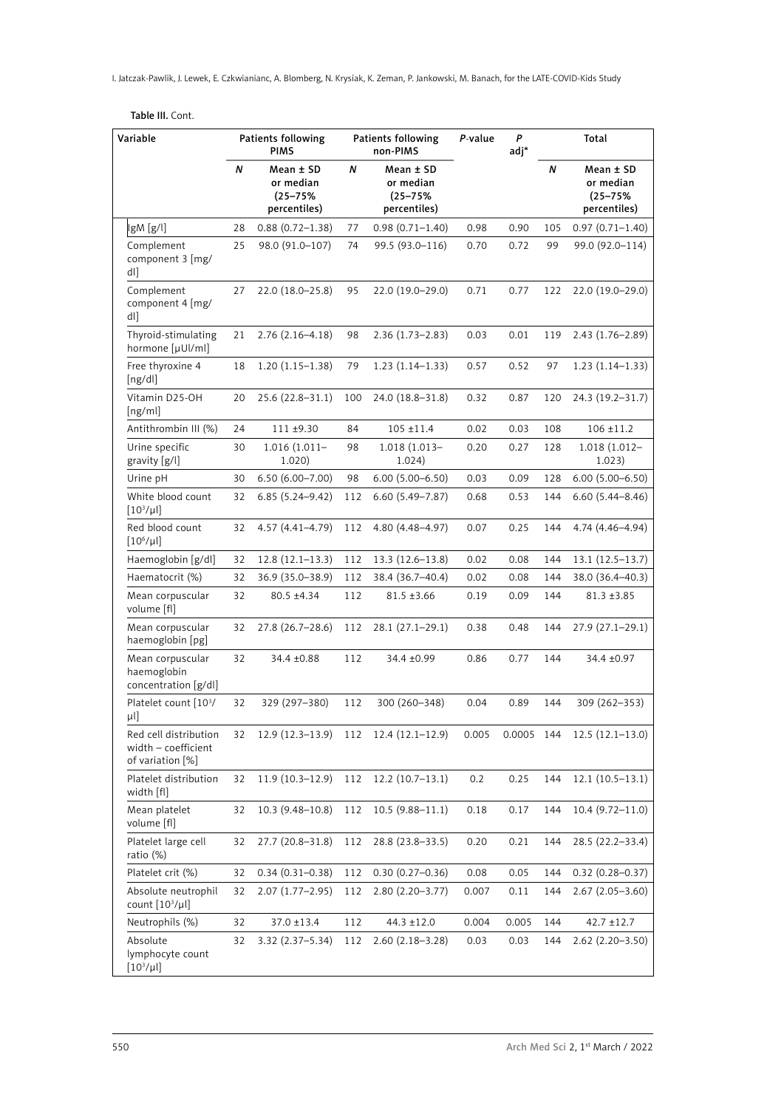I. Jatczak-Pawlik, J. Lewek, E. Czkwianianc, A. Blomberg, N. Krysiak, K. Zeman, P. Jankowski, M. Banach, for the LATE-COVID-Kids Study

| Table III. Cont. |  |
|------------------|--|
|------------------|--|

| Variable                                                         | Patients following<br><b>PIMS</b> |                                                        | <b>Patients following</b><br>non-PIMS | P-value                                                | P<br>adj* | Total      |     |                                                        |
|------------------------------------------------------------------|-----------------------------------|--------------------------------------------------------|---------------------------------------|--------------------------------------------------------|-----------|------------|-----|--------------------------------------------------------|
|                                                                  | N                                 | Mean ± SD<br>or median<br>$(25 - 75%)$<br>percentiles) | N                                     | Mean ± SD<br>or median<br>$(25 - 75%)$<br>percentiles) |           |            | N   | Mean ± SD<br>or median<br>$(25 - 75%)$<br>percentiles) |
| lgM [g/l]                                                        | 28                                | $0.88(0.72 - 1.38)$                                    | 77                                    | $0.98(0.71 - 1.40)$                                    | 0.98      | 0.90       | 105 | $0.97(0.71 - 1.40)$                                    |
| Complement<br>component 3 [mg/<br>dl]                            | 25                                | 98.0 (91.0-107)                                        | 74                                    | 99.5 (93.0-116)                                        | 0.70      | 0.72       | 99  | 99.0 (92.0-114)                                        |
| Complement<br>component 4 [mg/<br>dl]                            | 27                                | $22.0(18.0-25.8)$                                      | 95                                    | 22.0 (19.0-29.0)                                       | 0.71      | 0.77       | 122 | 22.0 (19.0-29.0)                                       |
| Thyroid-stimulating<br>hormone [µUl/ml]                          | 21                                | $2.76(2.16-4.18)$                                      | 98                                    | $2.36(1.73 - 2.83)$                                    | 0.03      | 0.01       | 119 | $2.43(1.76-2.89)$                                      |
| Free thyroxine 4<br>[ng/dl]                                      | 18                                | $1.20(1.15-1.38)$                                      | 79                                    | $1.23(1.14-1.33)$                                      | 0.57      | 0.52       | 97  | $1.23(1.14-1.33)$                                      |
| Vitamin D25-OH<br>[ng/ml]                                        | 20                                | 25.6 (22.8-31.1)                                       | 100                                   | 24.0 (18.8–31.8)                                       | 0.32      | 0.87       | 120 | 24.3 (19.2-31.7)                                       |
| Antithrombin III (%)                                             | 24                                | $111 + 9.30$                                           | 84                                    | $105 + 11.4$                                           | 0.02      | 0.03       | 108 | $106 + 11.2$                                           |
| Urine specific<br>gravity [g/l]                                  | 30                                | $1.016(1.011 -$<br>1.020)                              | 98                                    | 1.018 (1.013-<br>1.024)                                | 0.20      | 0.27       | 128 | 1.018 (1.012-<br>1.023)                                |
| Urine pH                                                         | 30                                | $6.50(6.00 - 7.00)$                                    | 98                                    | $6.00(5.00 - 6.50)$                                    | 0.03      | 0.09       | 128 | $6.00(5.00 - 6.50)$                                    |
| White blood count<br>$[10^3/\mu$                                 | 32                                | $6.85(5.24 - 9.42)$                                    | 112                                   | $6.60(5.49 - 7.87)$                                    | 0.68      | 0.53       | 144 | $6.60(5.44 - 8.46)$                                    |
| Red blood count<br>$[10^6/\mu$                                   | 32                                | $4.57(4.41 - 4.79)$                                    | 112                                   | 4.80 (4.48-4.97)                                       | 0.07      | 0.25       | 144 | 4.74 (4.46-4.94)                                       |
| Haemoglobin [g/dl]                                               | 32                                | $12.8(12.1-13.3)$                                      | 112                                   | $13.3(12.6 - 13.8)$                                    | 0.02      | 0.08       | 144 | $13.1(12.5-13.7)$                                      |
| Haematocrit (%)                                                  | 32                                | 36.9 (35.0-38.9)                                       | 112                                   | 38.4 (36.7–40.4)                                       | 0.02      | 0.08       | 144 | 38.0 (36.4-40.3)                                       |
| Mean corpuscular<br>volume [fl]                                  | 32                                | $80.5 \pm 4.34$                                        | 112                                   | $81.5 \pm 3.66$                                        | 0.19      | 0.09       | 144 | $81.3 \pm 3.85$                                        |
| Mean corpuscular<br>haemoglobin [pg]                             | 32                                | $27.8(26.7-28.6)$                                      | 112                                   | 28.1 (27.1-29.1)                                       | 0.38      | 0.48       | 144 | 27.9 (27.1-29.1)                                       |
| Mean corpuscular<br>haemoglobin<br>concentration [g/dl]          | 32                                | 34.4 ±0.88                                             | 112                                   | 34.4 ±0.99                                             | 0.86      | 0.77       | 144 | 34.4 ±0.97                                             |
| Platelet count [103/<br>μl]                                      | 32                                | 329 (297–380)                                          | 112                                   | 300 (260-348)                                          | 0.04      | 0.89       | 144 | 309 (262-353)                                          |
| Red cell distribution<br>width - coefficient<br>of variation [%] | 32                                | $12.9(12.3-13.9)$                                      | 112                                   | $12.4(12.1-12.9)$                                      | 0.005     | 0.0005 144 |     | $12.5(12.1-13.0)$                                      |
| Platelet distribution<br>width [fl]                              | 32                                | $11.9(10.3-12.9)$                                      | 112                                   | $12.2(10.7-13.1)$                                      | 0.2       | 0.25       | 144 | $12.1(10.5-13.1)$                                      |
| Mean platelet<br>volume [fl]                                     | 32                                | $10.3(9.48 - 10.8)$                                    | 112                                   | $10.5(9.88 - 11.1)$                                    | 0.18      | 0.17       | 144 | $10.4(9.72 - 11.0)$                                    |
| Platelet large cell<br>ratio (%)                                 | 32                                | 27.7 (20.8–31.8)                                       | 112                                   | 28.8 (23.8–33.5)                                       | 0.20      | 0.21       | 144 | 28.5 (22.2-33.4)                                       |
| Platelet crit (%)                                                | 32                                | $0.34(0.31 - 0.38)$                                    | 112                                   | $0.30(0.27 - 0.36)$                                    | 0.08      | 0.05       | 144 | $0.32(0.28 - 0.37)$                                    |
| Absolute neutrophil<br>count $[10^3/\mu]$                        | 32                                | $2.07(1.77-2.95)$                                      | 112                                   | $2.80(2.20-3.77)$                                      | 0.007     | 0.11       | 144 | $2.67(2.05 - 3.60)$                                    |
| Neutrophils (%)                                                  | 32                                | 37.0 ±13.4                                             | 112                                   | 44.3 ±12.0                                             | 0.004     | 0.005      | 144 | $42.7 \pm 12.7$                                        |
| Absolute<br>lymphocyte count<br>$[10^3/\mu l]$                   | 32                                | 3.32 (2.37–5.34)                                       | 112                                   | $2.60(2.18-3.28)$                                      | 0.03      | 0.03       | 144 | $2.62(2.20-3.50)$                                      |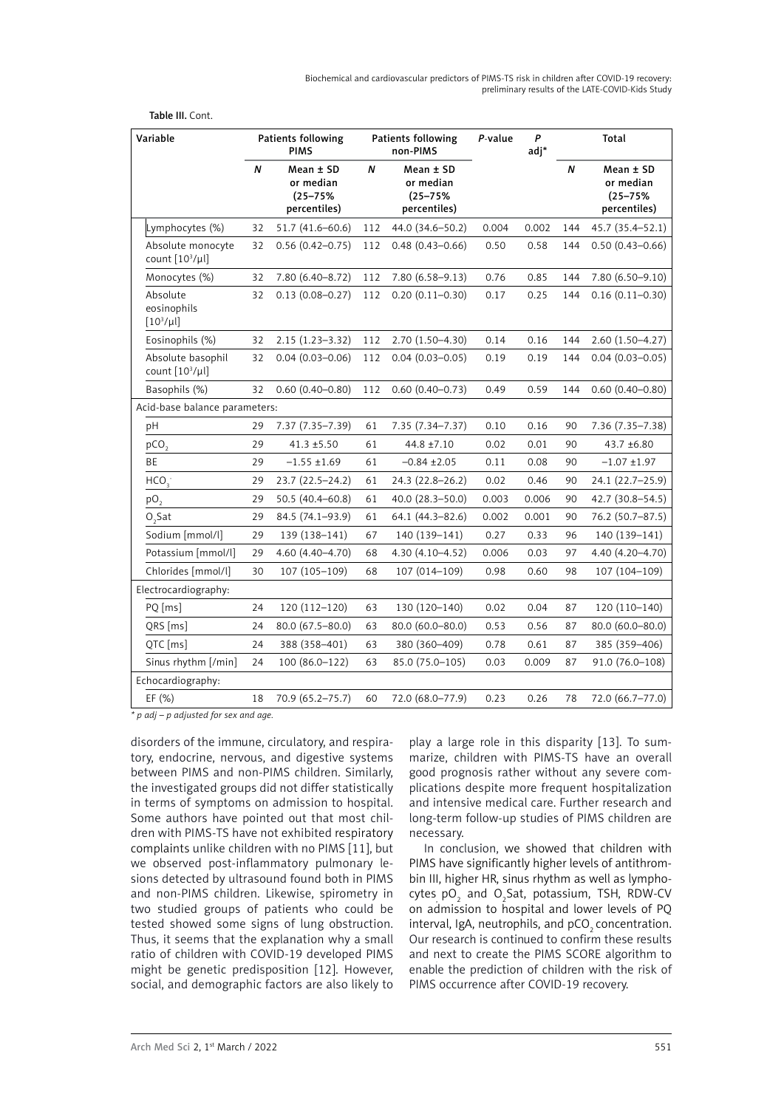Biochemical and cardiovascular predictors of PIMS-TS risk in children after COVID-19 recovery: preliminary results of the LATE-COVID-Kids Study

| Variable                                  |    | Patients following<br><b>PIMS</b>                      |     | Patients following<br>non-PIMS                         |       | P<br>adj* | Total |                                                            |
|-------------------------------------------|----|--------------------------------------------------------|-----|--------------------------------------------------------|-------|-----------|-------|------------------------------------------------------------|
|                                           | N  | Mean ± SD<br>or median<br>$(25 - 75%)$<br>percentiles) | N   | Mean ± SD<br>or median<br>$(25 - 75%)$<br>percentiles) |       |           | N     | $Mean \pm SD$<br>or median<br>$(25 - 75%)$<br>percentiles) |
| Lymphocytes (%)                           | 32 | $51.7(41.6 - 60.6)$                                    | 112 | 44.0 (34.6-50.2)                                       | 0.004 | 0.002     | 144   | 45.7 (35.4-52.1)                                           |
| Absolute monocyte<br>count $[10^3/\mu l]$ | 32 | $0.56(0.42 - 0.75)$                                    | 112 | $0.48(0.43 - 0.66)$                                    | 0.50  | 0.58      | 144   | $0.50(0.43 - 0.66)$                                        |
| Monocytes (%)                             | 32 | 7.80 (6.40-8.72)                                       | 112 | $7.80(6.58 - 9.13)$                                    | 0.76  | 0.85      | 144   | $7.80(6.50 - 9.10)$                                        |
| Absolute<br>eosinophils<br>$[10^3/\mu$    | 32 | $0.13(0.08 - 0.27)$                                    | 112 | $0.20(0.11 - 0.30)$                                    | 0.17  | 0.25      | 144   | $0.16(0.11 - 0.30)$                                        |
| Eosinophils (%)                           | 32 | $2.15(1.23 - 3.32)$                                    | 112 | 2.70 (1.50-4.30)                                       | 0.14  | 0.16      | 144   | $2.60(1.50 - 4.27)$                                        |
| Absolute basophil<br>count $[10^3/\mu]$   | 32 | $0.04(0.03 - 0.06)$                                    | 112 | $0.04(0.03 - 0.05)$                                    | 0.19  | 0.19      | 144   | $0.04(0.03 - 0.05)$                                        |
| Basophils (%)                             | 32 | $0.60(0.40 - 0.80)$                                    | 112 | $0.60(0.40 - 0.73)$                                    | 0.49  | 0.59      | 144   | $0.60(0.40 - 0.80)$                                        |
| Acid-base balance parameters:             |    |                                                        |     |                                                        |       |           |       |                                                            |
| pH                                        | 29 | 7.37 (7.35-7.39)                                       | 61  | 7.35 (7.34-7.37)                                       | 0.10  | 0.16      | 90    | 7.36 (7.35-7.38)                                           |
| pCO <sub>2</sub>                          | 29 | $41.3 \pm 5.50$                                        | 61  | 44.8 ±7.10                                             | 0.02  | 0.01      | 90    | 43.7 ±6.80                                                 |
| BE                                        | 29 | $-1.55 \pm 1.69$                                       | 61  | $-0.84 \pm 2.05$                                       | 0.11  | 0.08      | 90    | $-1.07 + 1.97$                                             |
| HCO <sub>3</sub>                          | 29 | 23.7 (22.5-24.2)                                       | 61  | 24.3 (22.8–26.2)                                       | 0.02  | 0.46      | 90    | 24.1 (22.7-25.9)                                           |
| pO <sub>2</sub>                           | 29 | 50.5 (40.4-60.8)                                       | 61  | 40.0 (28.3-50.0)                                       | 0.003 | 0.006     | 90    | 42.7 (30.8-54.5)                                           |
| $O2$ Sat                                  | 29 | 84.5 (74.1-93.9)                                       | 61  | 64.1 (44.3-82.6)                                       | 0.002 | 0.001     | 90    | 76.2 (50.7-87.5)                                           |
| Sodium [mmol/l]                           | 29 | 139 (138-141)                                          | 67  | 140 (139-141)                                          | 0.27  | 0.33      | 96    | 140 (139-141)                                              |
| Potassium [mmol/l]                        | 29 | 4.60 (4.40-4.70)                                       | 68  | $4.30(4.10 - 4.52)$                                    | 0.006 | 0.03      | 97    | 4.40 (4.20-4.70)                                           |
| Chlorides [mmol/l]                        | 30 | 107 (105-109)                                          | 68  | 107 (014-109)                                          | 0.98  | 0.60      | 98    | 107 (104-109)                                              |
| Electrocardiography:                      |    |                                                        |     |                                                        |       |           |       |                                                            |
| PQ [ms]                                   | 24 | 120 (112-120)                                          | 63  | 130 (120-140)                                          | 0.02  | 0.04      | 87    | 120 (110-140)                                              |
| QRS [ms]                                  | 24 | 80.0 (67.5-80.0)                                       | 63  | 80.0 (60.0-80.0)                                       | 0.53  | 0.56      | 87    | 80.0 (60.0-80.0)                                           |
| QTC [ms]                                  | 24 | 388 (358-401)                                          | 63  | 380 (360-409)                                          | 0.78  | 0.61      | 87    | 385 (359-406)                                              |
| Sinus rhythm [/min]                       | 24 | 100 (86.0-122)                                         | 63  | 85.0 (75.0-105)                                        | 0.03  | 0.009     | 87    | 91.0 (76.0-108)                                            |
| Echocardiography:                         |    |                                                        |     |                                                        |       |           |       |                                                            |
| EF (%)                                    | 18 | 70.9 (65.2–75.7)                                       | 60  | 72.0 (68.0–77.9)                                       | 0.23  | 0.26      | 78    | 72.0 (66.7–77.0)                                           |

Table III. Cont.

*\* p adj – p adjusted for sex and age.*

disorders of the immune, circulatory, and respiratory, endocrine, nervous, and digestive systems between PIMS and non-PIMS children. Similarly, the investigated groups did not differ statistically in terms of symptoms on admission to hospital. Some authors have pointed out that most children with PIMS-TS have not exhibited respiratory complaints unlike children with no PIMS [11], but we observed post-inflammatory pulmonary lesions detected by ultrasound found both in PIMS and non-PIMS children. Likewise, spirometry in two studied groups of patients who could be tested showed some signs of lung obstruction. Thus, it seems that the explanation why a small ratio of children with COVID-19 developed PIMS might be genetic predisposition [12]. However, social, and demographic factors are also likely to

play a large role in this disparity [13]. To summarize, children with PIMS-TS have an overall good prognosis rather without any severe complications despite more frequent hospitalization and intensive medical care. Further research and long-term follow-up studies of PIMS children are necessary.

In conclusion, we showed that children with PIMS have significantly higher levels of antithrombin III, higher HR, sinus rhythm as well as lymphocytes<sub>, p</sub>O<sub>2</sub> and O<sub>2</sub>Sat, potassium, TSH, RDW-CV on admission to hospital and lower levels of PQ interval, IgA, neutrophils, and pCO<sub>2</sub> concentration. Our research is continued to confirm these results and next to create the PIMS SCORE algorithm to enable the prediction of children with the risk of PIMS occurrence after COVID-19 recovery.